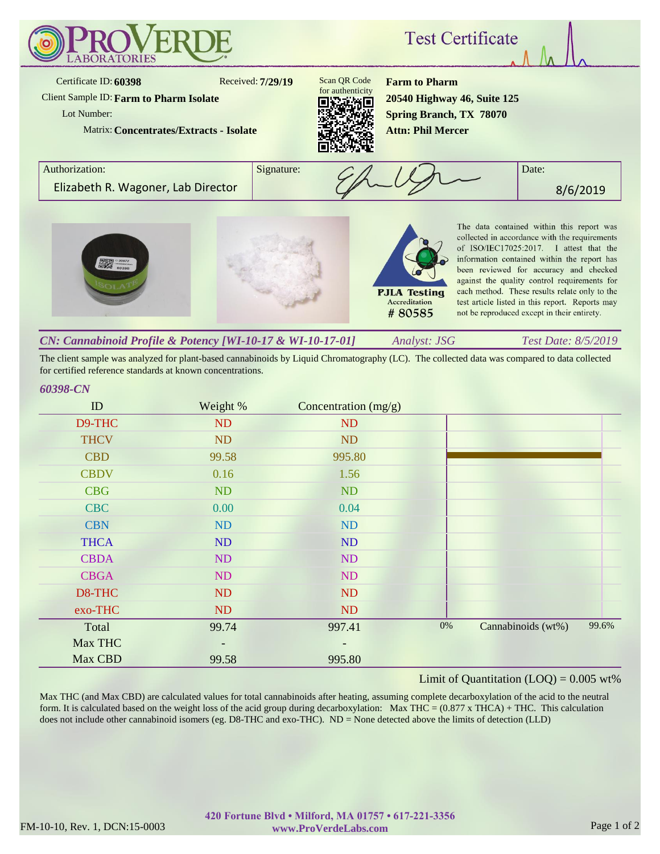

The client sample was analyzed for plant-based cannabinoids by Liquid Chromatography (LC). The collected data was compared to data collected for certified reference standards at known concentrations.

## *60398-CN*

| ID          | Weight %  | Concentration $(mg/g)$ |       |                    |       |
|-------------|-----------|------------------------|-------|--------------------|-------|
| D9-THC      | ND        | ND                     |       |                    |       |
| <b>THCV</b> | <b>ND</b> | ND                     |       |                    |       |
| <b>CBD</b>  | 99.58     | 995.80                 |       |                    |       |
| <b>CBDV</b> | 0.16      | 1.56                   |       |                    |       |
| <b>CBG</b>  | ND        | ND                     |       |                    |       |
| <b>CBC</b>  | 0.00      | 0.04                   |       |                    |       |
| <b>CBN</b>  | ND        | ND                     |       |                    |       |
| <b>THCA</b> | <b>ND</b> | ND                     |       |                    |       |
| <b>CBDA</b> | ND        | ND                     |       |                    |       |
| <b>CBGA</b> | ND        | ND                     |       |                    |       |
| D8-THC      | <b>ND</b> | ND                     |       |                    |       |
| exo-THC     | ND        | ND                     |       |                    |       |
| Total       | 99.74     | 997.41                 | $0\%$ | Cannabinoids (wt%) | 99.6% |
| Max THC     |           | $\qquad \qquad$        |       |                    |       |
| Max CBD     | 99.58     | 995.80                 |       |                    |       |

## Limit of Quantitation  $(LOQ) = 0.005$  wt%

Max THC (and Max CBD) are calculated values for total cannabinoids after heating, assuming complete decarboxylation of the acid to the neutral form. It is calculated based on the weight loss of the acid group during decarboxylation: Max THC =  $(0.877 \times THCA) + THC$ . This calculation does not include other cannabinoid isomers (eg. D8-THC and exo-THC). ND = None detected above the limits of detection (LLD)